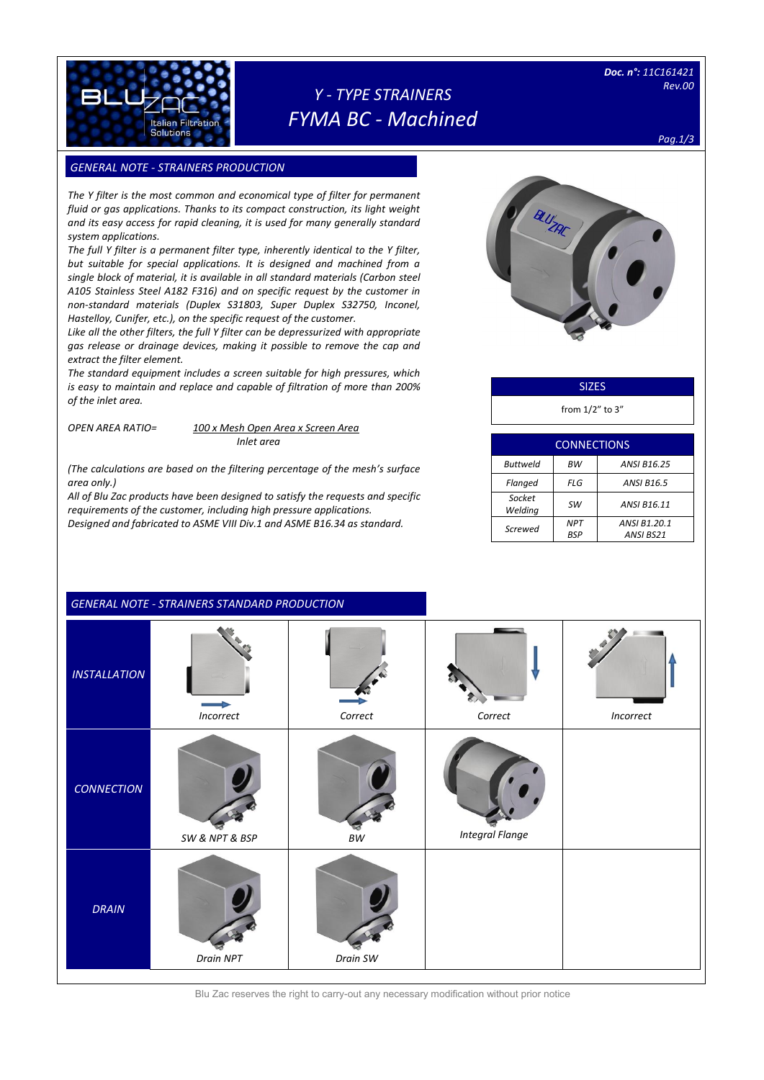

## *Y - TYPE STRAINERS FYMA BC - Machined*

*Doc. n°: 11C161421 Rev.00* 

*Pag.1/3*

### **GENERAL NOTE - STRAINERS PRODUCTION**

*The Y filter is the most common and economical type of filter for permanent fluid or gas applications. Thanks to its compact construction, its light weight and its easy access for rapid cleaning, it is used for many generally standard system applications.*

*The full Y filter is a permanent filter type, inherently identical to the Y filter, but suitable for special applications. It is designed and machined from a single block of material, it is available in all standard materials (Carbon steel A105 Stainless Steel A182 F316) and on specific request by the customer in non-standard materials (Duplex S31803, Super Duplex S32750, Inconel, Hastelloy, Cunifer, etc.), on the specific request of the customer.*

*Like all the other filters, the full Y filter can be depressurized with appropriate gas release or drainage devices, making it possible to remove the cap and extract the filter element.* 

*The standard equipment includes a screen suitable for high pressures, which is easy to maintain and replace and capable of filtration of more than 200% of the inlet area.*

*OPEN AREA RATIO= 100 x Mesh Open Area x Screen Area*

*Inlet area*

*(The calculations are based on the filtering percentage of the mesh's surface area only.)*

*All of Blu Zac products have been designed to satisfy the requests and specific requirements of the customer, including high pressure applications. Designed and fabricated to ASME VIII Div.1 and ASME B16.34 as standard.*



### **SIZES**

from 1/2" to 3"

| <b>CONNECTIONS</b>                   |                   |                           |  |  |  |
|--------------------------------------|-------------------|---------------------------|--|--|--|
| <b>ANSI B16.25</b><br>Buttweld<br>ВW |                   |                           |  |  |  |
| Flanged                              | FLG               | <b>ANSI B16.5</b>         |  |  |  |
| Socket<br>Welding                    | sw                | ANSI B16.11               |  |  |  |
| Screwed                              | <b>NPT</b><br>BSP | ANSI B1.20.1<br>ANSI BS21 |  |  |  |

|                     | <b>GENERAL NOTE - STRAINERS STANDARD PRODUCTION</b> |                            |                        |           |
|---------------------|-----------------------------------------------------|----------------------------|------------------------|-----------|
| <b>INSTALLATION</b> | Incorrect                                           | Correct                    | Correct                | Incorrect |
| <b>CONNECTION</b>   | SW & NPT & BSP                                      | $\ensuremath{\mathit{BW}}$ | <b>Integral Flange</b> |           |
| <b>DRAIN</b>        | Drain NPT                                           | Drain SW                   |                        |           |

Blu Zac reserves the right to carry-out any necessary modification without prior notice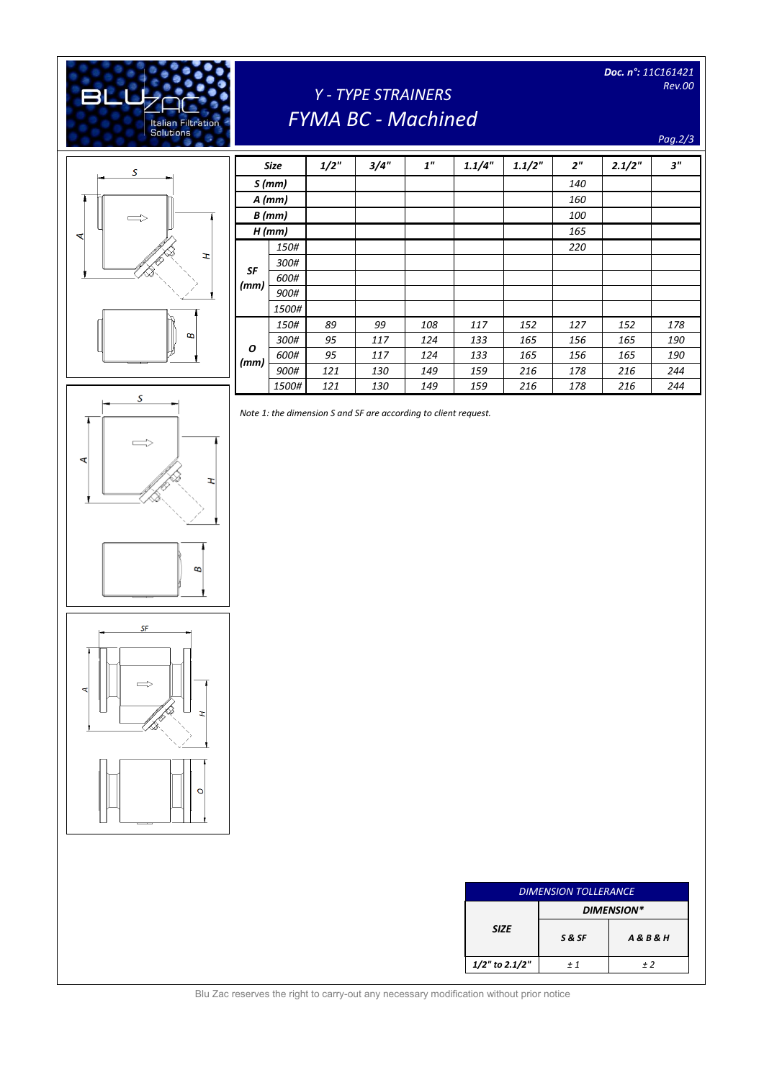

# *Y - TYPE STRAINERS FYMA BC - Machined*

*Doc. n°: 11C161421 Rev.00* 

#### *Pag.2/3*



 $\overline{\mathcal{S}}$ 

 $\Longrightarrow$ 

Ŧ,

 $\varpi$ 

₹

| <b>Size</b> |          | 1/2" | 3/4" | 1"  | 1.1/4" | 1.1/2" | 2 <sup>n</sup> | 2.1/2" | 3"  |
|-------------|----------|------|------|-----|--------|--------|----------------|--------|-----|
| S(mm)       |          |      |      |     |        |        | 140            |        |     |
|             | $A$ (mm) |      |      |     |        |        | 160            |        |     |
|             | $B$ (mm) |      |      |     |        |        | 100            |        |     |
| $H$ (mm)    |          |      |      |     |        |        | 165            |        |     |
|             | 150#     |      |      |     |        |        | 220            |        |     |
|             | 300#     |      |      |     |        |        |                |        |     |
| SF<br>(mm)  | 600#     |      |      |     |        |        |                |        |     |
|             | 900#     |      |      |     |        |        |                |        |     |
|             | 1500#    |      |      |     |        |        |                |        |     |
|             | 150#     | 89   | 99   | 108 | 117    | 152    | 127            | 152    | 178 |
|             | 300#     | 95   | 117  | 124 | 133    | 165    | 156            | 165    | 190 |
| 0<br>(mm)   | 600#     | 95   | 117  | 124 | 133    | 165    | 156            | 165    | 190 |
|             | 900#     | 121  | 130  | 149 | 159    | 216    | 178            | 216    | 244 |
|             | 1500#    | 121  | 130  | 149 | 159    | 216    | 178            | 216    | 244 |

*Note 1: the dimension S and SF are according to client request.*



**SF** 

| <b>DIMENSION TOLLERANCE</b> |            |                      |  |
|-----------------------------|------------|----------------------|--|
|                             | DIMENSION* |                      |  |
| <b>SIZE</b>                 | S&SF       | <b>A&amp;B&amp;H</b> |  |
| $1/2$ " to 2.1/2"           | $+1$       | $+2$                 |  |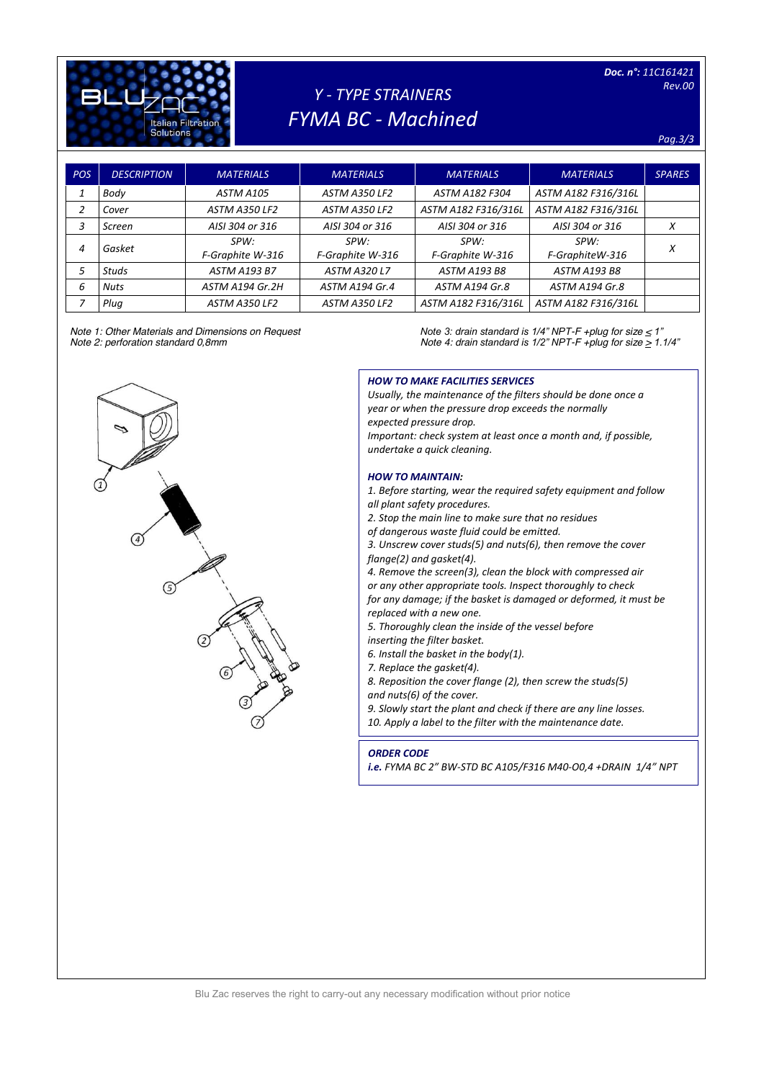

# *Y - TYPE STRAINERS FYMA BC - Machined*

#### *Pag.3/3*

| POS | <b>DESCRIPTION</b> | <b>MATERIALS</b>    | <b>MATERIALS</b>    | <b>MATERIALS</b>    | <b>MATERIALS</b>    | <b>SPARES</b> |
|-----|--------------------|---------------------|---------------------|---------------------|---------------------|---------------|
|     | Body               | ASTM A105           | ASTM A350 LF2       | ASTM A182 F304      | ASTM A182 F316/316L |               |
| 2   | Cover              | ASTM A350 LF2       | ASTM A350 LF2       | ASTM A182 F316/316L | ASTM A182 F316/316L |               |
| 3   | Screen             | AISI 304 or 316     | AISI 304 or 316     | AISI 304 or 316     | AISI 304 or 316     | X             |
| 4   | Gasket             | SPW:                | SPW:                | SPW:                | SPW:                | Χ             |
|     |                    | F-Graphite W-316    | F-Graphite W-316    | F-Graphite W-316    | F-GraphiteW-316     |               |
| 5   | <b>Studs</b>       | <b>ASTM A193 B7</b> | <b>ASTM A320 L7</b> | <b>ASTM A193 B8</b> | <b>ASTM A193 B8</b> |               |
| 6   | <b>Nuts</b>        | ASTM A194 Gr.2H     | ASTM A194 Gr.4      | ASTM A194 Gr.8      | ASTM A194 Gr.8      |               |
|     | Plug               | ASTM A350 LF2       | ASTM A350 LF2       | ASTM A182 F316/316L | ASTM A182 F316/316L |               |

*Note 1: Other Materials and Dimensions on Request Note 3: drain standard is 1/4" NPT-F +plug for size < 1" Note 4: drain standard is 1/2" NPT-F +plug for size*  $\geq$  *1.1/4"* 



#### *HOW TO MAKE FACILITIES SERVICES*

*Usually, the maintenance of the filters should be done once a year or when the pressure drop exceeds the normally expected pressure drop. Important: check system at least once a month and, if possible, undertake a quick cleaning.*

#### *HOW TO MAINTAIN:*

*1. Before starting, wear the required safety equipment and follow all plant safety procedures.*

- *2. Stop the main line to make sure that no residues*
- *of dangerous waste fluid could be emitted.*

*3. Unscrew cover studs(5) and nuts(6), then remove the cover flange(2) and gasket(4).*

*4. Remove the screen(3), clean the block with compressed air or any other appropriate tools. Inspect thoroughly to check for any damage; if the basket is damaged or deformed, it must be replaced with a new one.*

*5. Thoroughly clean the inside of the vessel before* 

*inserting the filter basket.*

*6. Install the basket in the body(1).*

*7. Replace the gasket(4).*

*8. Reposition the cover flange (2), then screw the studs(5) and nuts(6) of the cover.*

*9. Slowly start the plant and check if there are any line losses. 10. Apply a label to the filter with the maintenance date.*

#### *ORDER CODE*

*i.e. FYMA BC 2" BW-STD BC A105/F316 M40-O0,4 +DRAIN 1/4" NPT*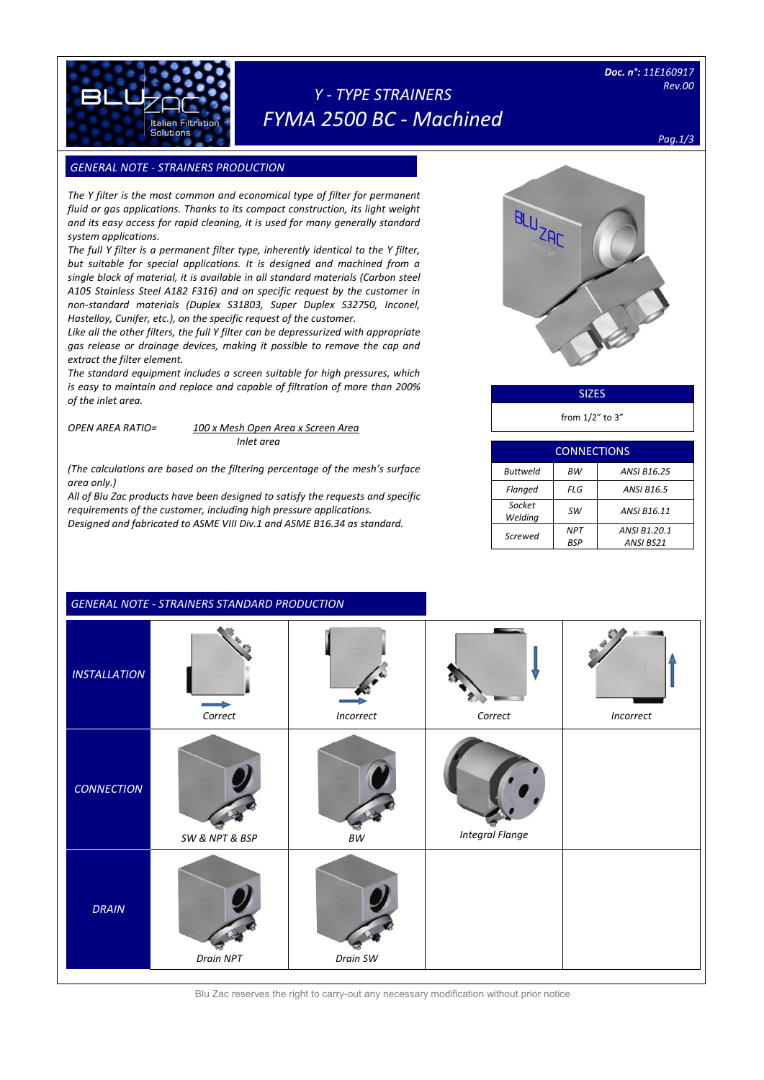

## *Y - TYPE STRAINERS FYMA 2500 BC - Machined*

### **GENERAL NOTE - STRAINERS PRODUCTION**

Italian Filtratio Solutions

[Digitare il testo]

*The Y filter is the most common and economical type of filter for permanent fluid or gas applications. Thanks to its compact construction, its light weight and its easy access for rapid cleaning, it is used for many generally standard system applications.*

*The full Y filter is a permanent filter type, inherently identical to the Y filter, but suitable for special applications. It is designed and machined from a single block of material, it is available in all standard materials (Carbon steel A105 Stainless Steel A182 F316) and on specific request by the customer in non-standard materials (Duplex S31803, Super Duplex S32750, Inconel, Hastelloy, Cunifer, etc.), on the specific request of the customer.*

*Like all the other filters, the full Y filter can be depressurized with appropriate gas release or drainage devices, making it possible to remove the cap and extract the filter element.* 

*The standard equipment includes a screen suitable for high pressures, which is easy to maintain and replace and capable of filtration of more than 200% of the inlet area.*

*OPEN AREA RATIO= 100 x Mesh Open Area x Screen Area*

*Inlet area*

*(The calculations are based on the filtering percentage of the mesh's surface area only.)*

*All of Blu Zac products have been designed to satisfy the requests and specific requirements of the customer, including high pressure applications. Designed and fabricated to ASME VIII Div.1 and ASME B16.34 as standard.*

| BLUZAC |
|--------|
|        |
|        |

SIZES

from 1/2" to 3"

| <b>CONNECTIONS</b> |                          |                           |  |  |  |
|--------------------|--------------------------|---------------------------|--|--|--|
| <b>Buttweld</b>    | ВW                       | <b>ANSI B16.25</b>        |  |  |  |
| Flanged            | FLG                      | <b>ANSI B16.5</b>         |  |  |  |
| Socket<br>Welding  | <b>SW</b>                | ANSI B16.11               |  |  |  |
| Screwed            | <b>NPT</b><br><b>BSP</b> | ANSI B1.20.1<br>ANSI BS21 |  |  |  |

|                     | <b>GENERAL NOTE - STRAINERS STANDARD PRODUCTION</b> |                            |                        |           |
|---------------------|-----------------------------------------------------|----------------------------|------------------------|-----------|
| <b>INSTALLATION</b> | Correct                                             | Incorrect                  | Correct                | Incorrect |
| <b>CONNECTION</b>   | SW & NPT & BSP                                      | $\ensuremath{\mathit{BW}}$ | <b>Integral Flange</b> |           |
| <b>DRAIN</b>        | Drain NPT                                           | Drain SW                   |                        |           |

Blu Zac reserves the right to carry-out any necessary modification without prior notice

## *Pag.1/3*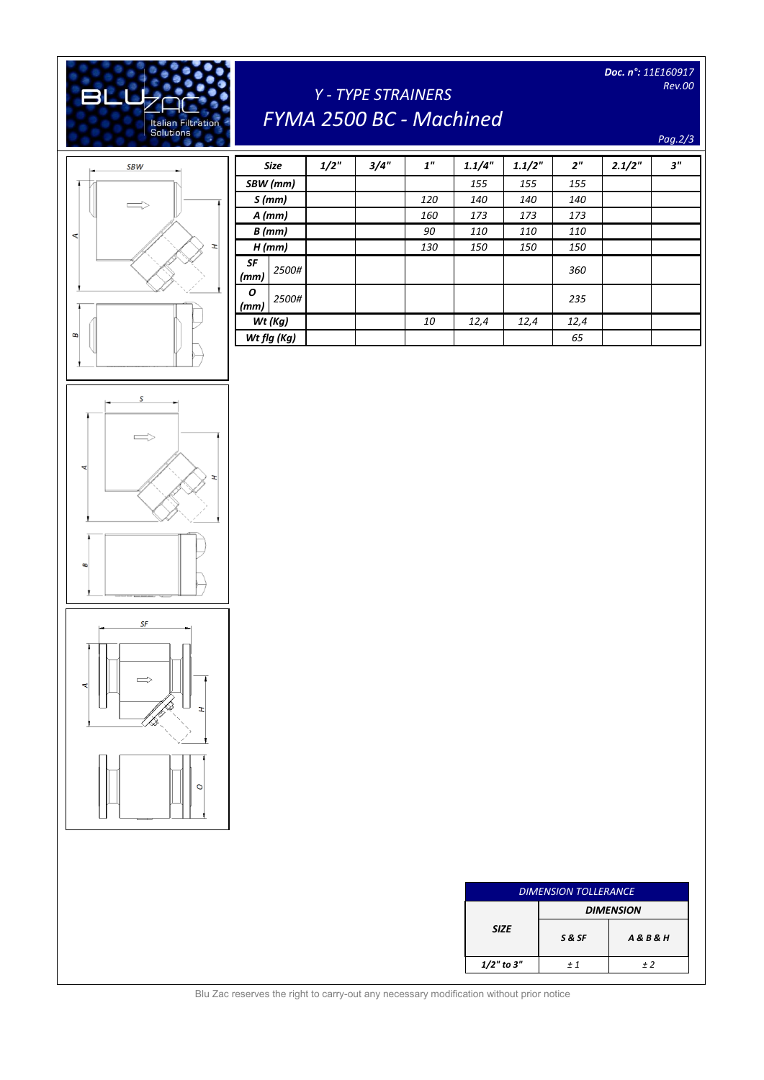*Doc. n°: 11E160917 Rev.00* 

# *Y - TYPE STRAINERS FYMA 2500 BC - Machined*

*Pag.2/3*



[Digitare il testo]

Italian Filtration<br>Solutions

**BLL** 

|            | <b>Size</b> | 1/2" | 3/4" | 1 <sup>''</sup> | 1.1/4" | 1.1/2" | 2 <sup>n</sup> | 2.1/2" | 3'' |
|------------|-------------|------|------|-----------------|--------|--------|----------------|--------|-----|
|            | SBW (mm)    |      |      |                 | 155    | 155    | 155            |        |     |
|            | S(mm)       |      |      | 120             | 140    | 140    | 140            |        |     |
|            | $A$ (mm)    |      |      | 160             | 173    | 173    | 173            |        |     |
| $B$ (mm)   |             |      |      | 90              | 110    | 110    | 110            |        |     |
|            | $H$ (mm)    |      |      | 130             | 150    | 150    | 150            |        |     |
| SF<br>(mm) | 2500#       |      |      |                 |        |        | 360            |        |     |
| O<br>(mm)  | 2500#       |      |      |                 |        |        | 235            |        |     |
| Wt (Kg)    |             |      |      | 10              | 12,4   | 12,4   | 12,4           |        |     |
|            | Wt flg (Kg) |      |      |                 |        |        | 65             |        |     |

| <b>DIMENSION TOLLERANCE</b> |                  |                      |  |  |
|-----------------------------|------------------|----------------------|--|--|
|                             | <b>DIMENSION</b> |                      |  |  |
| <b>SIZE</b>                 | S&SF             | <b>A&amp;B&amp;H</b> |  |  |
| $1/2$ " to 3"               | $+1$             | + 2                  |  |  |